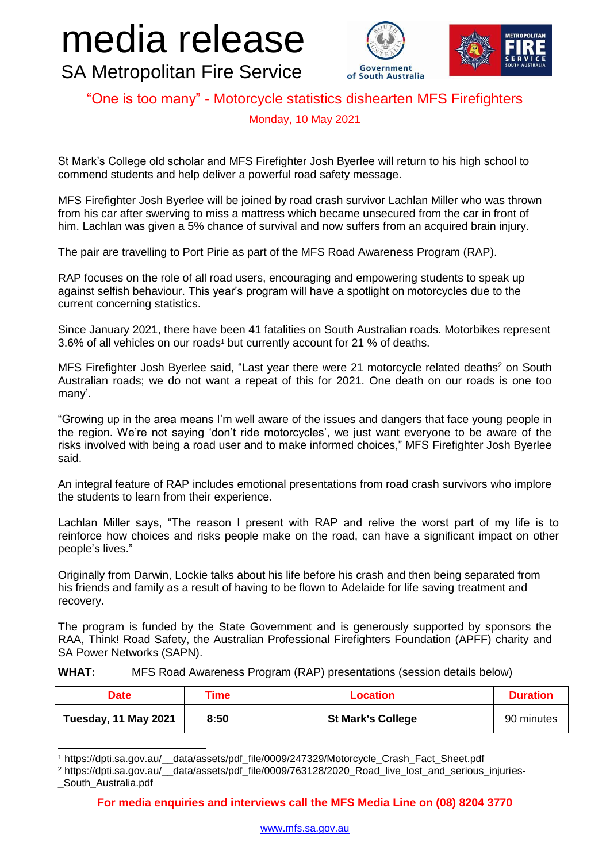## media release SA Metropolitan Fire Service





## "One is too many" - Motorcycle statistics dishearten MFS Firefighters

Monday, 10 May 2021

St Mark's College old scholar and MFS Firefighter Josh Byerlee will return to his high school to commend students and help deliver a powerful road safety message.

MFS Firefighter Josh Byerlee will be joined by road crash survivor Lachlan Miller who was thrown from his car after swerving to miss a mattress which became unsecured from the car in front of him. Lachlan was given a 5% chance of survival and now suffers from an acquired brain injury.

The pair are travelling to Port Pirie as part of the MFS Road Awareness Program (RAP).

RAP focuses on the role of all road users, encouraging and empowering students to speak up against selfish behaviour. This year's program will have a spotlight on motorcycles due to the current concerning statistics.

Since January 2021, there have been 41 fatalities on South Australian roads. Motorbikes represent 3.6% of all vehicles on our roads<sup>1</sup> but currently account for 21 % of deaths.

MFS Firefighter Josh Byerlee said, "Last year there were 21 motorcycle related deaths<sup>2</sup> on South Australian roads; we do not want a repeat of this for 2021. One death on our roads is one too many'.

"Growing up in the area means I'm well aware of the issues and dangers that face young people in the region. We're not saying 'don't ride motorcycles', we just want everyone to be aware of the risks involved with being a road user and to make informed choices," MFS Firefighter Josh Byerlee said.

An integral feature of RAP includes emotional presentations from road crash survivors who implore the students to learn from their experience.

Lachlan Miller says, "The reason I present with RAP and relive the worst part of my life is to reinforce how choices and risks people make on the road, can have a significant impact on other people's lives."

Originally from Darwin, Lockie talks about his life before his crash and then being separated from his friends and family as a result of having to be flown to Adelaide for life saving treatment and recovery.

The program is funded by the State Government and is generously supported by sponsors the RAA, Think! Road Safety, the Australian Professional Firefighters Foundation (APFF) charity and SA Power Networks (SAPN).

## **WHAT:** MFS Road Awareness Program (RAP) presentations (session details below)

| <b>Date</b>          | Time | <b>Location</b>          | <b>Duration</b> |
|----------------------|------|--------------------------|-----------------|
| Tuesday, 11 May 2021 | 8:50 | <b>St Mark's College</b> | 90 minutes      |

<sup>1</sup> https://dpti.sa.gov.au/\_\_data/assets/pdf\_file/0009/247329/Motorcycle\_Crash\_Fact\_Sheet.pdf

1

<sup>&</sup>lt;sup>2</sup> https://dpti.sa.gov.au/\_\_data/assets/pdf\_file/0009/763128/2020\_Road\_live\_lost\_and\_serious\_injuries-\_South\_Australia.pdf